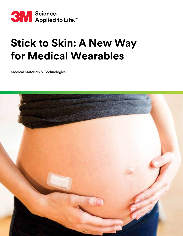

# **Stick to Skin: A New Way for Medical Wearables**

Medical Materials & Technologies

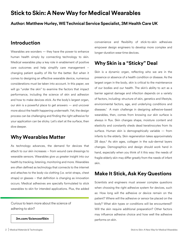# **Stick to Skin: A New Way for Medical Wearables**

#### **Author: Matthew Hurley, WE Technical Service Specialist, 3M Health Care UK**

## **Introduction**

Wearables are wonders — they have the power to enhance human health simply by connecting technology to skin. Medical wearables play a key role in enablement of positive care outcomes and help simplify care management – changing patient quality of life for the better. But when it comes to designing an effective wearable device, numerous considerations must be taken into account. In this paper, we will go "under the skin" to examine the factors that impact performance, including the science of skin and adhesion and how to make devices stick. As the body's largest organ, our skin is a powerful place to get answers — and uncover more about the health happening underneath. Yet, the design process can be challenging and finding the right adhesive for your application can be sticky. Let's start at the surface, then dive deeper.

## **Why Wearables Matter**

As technology advances, the demand for devices that attach to our skin increases – from wound care dressings to wearable sensors. Wearables give us greater insight into our health by tracking, listening, monitoring and more. Wearables are often defined as technology that connects to the internet and attaches to the body via clothing (i.e. wrist straps, chest straps) or glasses – that definition is changing as innovation occurs. Medical adhesives are specially formulated to stick wearables to skin for intended applications. Plus, the added

Curious to learn more about the science of adhering to skin?

**[3m.com/ScienceofSkin](https://www.3m.com/3M/en_US/medical-device-components-us/technical-information/science-of-skin/?utm_medium=redirect&utm_source=vanity-url&utm_campaign=3m.com/scienceofskin)**

convenience and flexibility of stick-to-skin adhesives empower design engineers to develop more complex and longer-duration wear time devices.

## **Why Skin is a "Sticky" Deal**

Skin is a dynamic organ, reflecting who we are in the presence or absence of a health condition or disease. As the largest organ in the body, skin is critical to the maintenance of our bodies and our health. The skin's ability to act as a barrier against damage and infection depends on a variety of factors, including: structure of skin, genetics and lifestyle, environmental factors, age, and underlying conditions and diseases.1 A main challenge in designing adhesive-based wearables, then, comes from knowing our skin surface is always in flux. Skin changes shape, moisture content and elasticity and constantly sheds dead keratinocytes from its surface. Human skin is demographically variable — from infants to the elderly. Skin regeneration takes approximately 28 days.<sup>2</sup> As skin ages, collagen in the sub-dermal layers changes. Demographics and design should work hand in hand, especially when you think of it this way: the needs of fragile elderly skin may differ greatly from the needs of infant skin.

## **Make It Stick, Ask Key Questions**

Scientists and engineers must answer complex questions when choosing the right adhesive system for devices, such as: How long will the adhesive or device remain on the patient? Where will the adhesive or sensor be placed on the body? What skin types or conditions will be encountered? Will the skin require additional preparation? Other factors may influence adhesive choice and how well the adhesive performs on skin.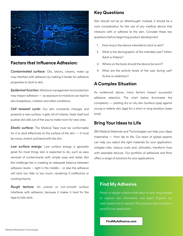

#### **Factors that Influence Adhesion:**

*Contaminated surface:* Oils, lotions, creams, make up may interfere with adhesion by making it harder for adhesive properties to stick to skin.

*Epidermal function:* Moisture management and protection may impact adhesion — as exposure to moisture can lead to skin breakdown, irritation and other conditions.

**Cell renewal cycle:** Our skin constantly changes and presents a new surface; it gets rid of irritants, heals itself and pushes old cells out of the way to make room for new ones.

*Elastic surface:* The Medical Tape must be conformable for it to stick effectively to the surface of the skin — it must be move, stretch and bend with the skin.

*Low surface energy:* Low surface energy is generally great for most things skin is expected to do, such as easy removal of contaminants with simple soap and water. But the challenge lies in creating an adequate balance between adhesion levels – right in the middle – or else the adhesive will stick too little or too much, rendering it ineffective or causing trauma.

*Rough texture:* An uneven or non-smooth surface interferes with adhesion, because it makes it hard for the tape to fully stick.

#### **Key Questions**

Skin should not be an afterthought. Instead, it should be a core consideration for the use of any medical device that interacts with or adheres to the skin. Consider these key questions before beginning product development

- 1. How long is the device intended to stick to skin?
- 2. What is the demographic of the intended user? Infant, Adult or Elderly?
- 3. Where on the body should the device be worn?
- 4. What are the activity levels of the user during use? Active or sedentary?

#### **A Complex Situation**

As evidenced above, many factors impact successful adhesive selection. The chart below illuminates the complexity — plotting dry or oily skin (surface type) against young or elderly skin (age) for a short or long duration (wear time).

#### **Bring Your Ideas to Life**

3M Medical Materials and Technologies can help your ideas materialize — from lab to life. Our team of global experts can help you select the right materials for your application, mitigate risks, reduce costs and, ultimately, transform lives with wearable devices. Our portfolio of adhesives and films offers a range of solutions for your applications.

### **Find My Adhesive**

Ready to design a device that stays on skin long enough to capture key information and data? Explore our web-based tool to identify 3M products that could be a good fit your application.

#### **[FindMyAdhesive.com](https://www.3m.com/3M/en_US/medical-device-components-us/locate-products/find-my-adhesive/?utm_medium=redirect&utm_source=vanity-url&utm_campaign=findmyadhesive.com)**